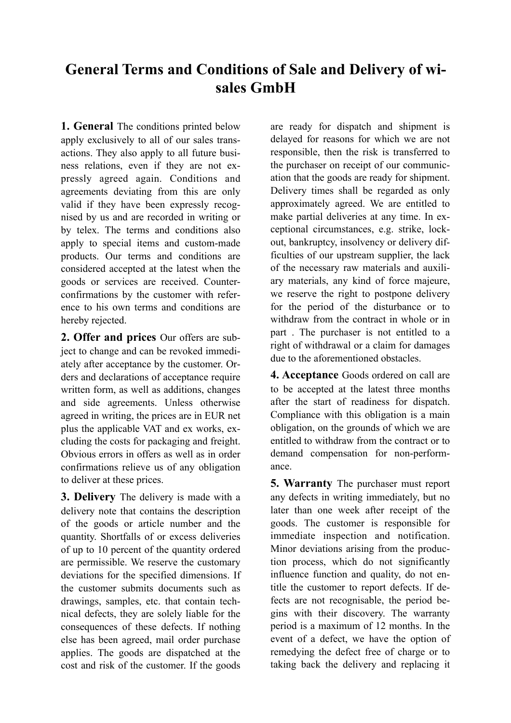## **General Terms and Conditions of Sale and Delivery of wisales GmbH**

**1. General** The conditions printed below apply exclusively to all of our sales transactions. They also apply to all future business relations, even if they are not expressly agreed again. Conditions and agreements deviating from this are only valid if they have been expressly recognised by us and are recorded in writing or by telex. The terms and conditions also apply to special items and custom-made products. Our terms and conditions are considered accepted at the latest when the goods or services are received. Counterconfirmations by the customer with reference to his own terms and conditions are hereby rejected.

**2. Offer and prices** Our offers are subject to change and can be revoked immediately after acceptance by the customer. Orders and declarations of acceptance require written form, as well as additions, changes and side agreements. Unless otherwise agreed in writing, the prices are in EUR net plus the applicable VAT and ex works, excluding the costs for packaging and freight. Obvious errors in offers as well as in order confirmations relieve us of any obligation to deliver at these prices.

**3. Delivery** The delivery is made with a delivery note that contains the description of the goods or article number and the quantity. Shortfalls of or excess deliveries of up to 10 percent of the quantity ordered are permissible. We reserve the customary deviations for the specified dimensions. If the customer submits documents such as drawings, samples, etc. that contain technical defects, they are solely liable for the consequences of these defects. If nothing else has been agreed, mail order purchase applies. The goods are dispatched at the cost and risk of the customer. If the goods

are ready for dispatch and shipment is delayed for reasons for which we are not responsible, then the risk is transferred to the purchaser on receipt of our communication that the goods are ready for shipment. Delivery times shall be regarded as only approximately agreed. We are entitled to make partial deliveries at any time. In exceptional circumstances, e.g. strike, lockout, bankruptcy, insolvency or delivery difficulties of our upstream supplier, the lack of the necessary raw materials and auxiliary materials, any kind of force majeure, we reserve the right to postpone delivery for the period of the disturbance or to withdraw from the contract in whole or in part . The purchaser is not entitled to a right of withdrawal or a claim for damages due to the aforementioned obstacles.

**4. Acceptance** Goods ordered on call are to be accepted at the latest three months after the start of readiness for dispatch. Compliance with this obligation is a main obligation, on the grounds of which we are entitled to withdraw from the contract or to demand compensation for non-performance.

**5. Warranty** The purchaser must report any defects in writing immediately, but no later than one week after receipt of the goods. The customer is responsible for immediate inspection and notification. Minor deviations arising from the production process, which do not significantly influence function and quality, do not entitle the customer to report defects. If defects are not recognisable, the period begins with their discovery. The warranty period is a maximum of 12 months. In the event of a defect, we have the option of remedying the defect free of charge or to taking back the delivery and replacing it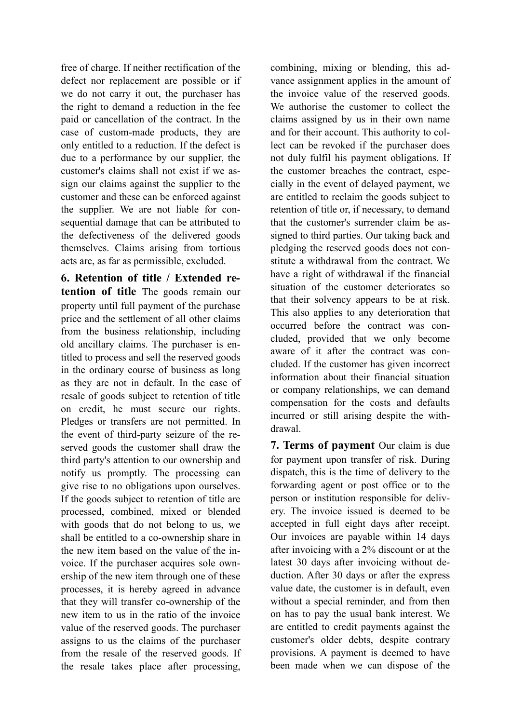free of charge. If neither rectification of the defect nor replacement are possible or if we do not carry it out, the purchaser has the right to demand a reduction in the fee paid or cancellation of the contract. In the case of custom-made products, they are only entitled to a reduction. If the defect is due to a performance by our supplier, the customer's claims shall not exist if we assign our claims against the supplier to the customer and these can be enforced against the supplier. We are not liable for consequential damage that can be attributed to the defectiveness of the delivered goods themselves. Claims arising from tortious acts are, as far as permissible, excluded.

**6. Retention of title / Extended retention of title** The goods remain our property until full payment of the purchase price and the settlement of all other claims from the business relationship, including old ancillary claims. The purchaser is entitled to process and sell the reserved goods in the ordinary course of business as long as they are not in default. In the case of resale of goods subject to retention of title on credit, he must secure our rights. Pledges or transfers are not permitted. In the event of third-party seizure of the reserved goods the customer shall draw the third party's attention to our ownership and notify us promptly. The processing can give rise to no obligations upon ourselves. If the goods subject to retention of title are processed, combined, mixed or blended with goods that do not belong to us, we shall be entitled to a co-ownership share in the new item based on the value of the invoice. If the purchaser acquires sole ownership of the new item through one of these processes, it is hereby agreed in advance that they will transfer co-ownership of the new item to us in the ratio of the invoice value of the reserved goods. The purchaser assigns to us the claims of the purchaser from the resale of the reserved goods. If the resale takes place after processing,

combining, mixing or blending, this advance assignment applies in the amount of the invoice value of the reserved goods. We authorise the customer to collect the claims assigned by us in their own name and for their account. This authority to collect can be revoked if the purchaser does not duly fulfil his payment obligations. If the customer breaches the contract, especially in the event of delayed payment, we are entitled to reclaim the goods subject to retention of title or, if necessary, to demand that the customer's surrender claim be assigned to third parties. Our taking back and pledging the reserved goods does not constitute a withdrawal from the contract. We have a right of withdrawal if the financial situation of the customer deteriorates so that their solvency appears to be at risk. This also applies to any deterioration that occurred before the contract was concluded, provided that we only become aware of it after the contract was concluded. If the customer has given incorrect information about their financial situation or company relationships, we can demand compensation for the costs and defaults incurred or still arising despite the withdrawal.

**7. Terms of payment** Our claim is due for payment upon transfer of risk. During dispatch, this is the time of delivery to the forwarding agent or post office or to the person or institution responsible for delivery. The invoice issued is deemed to be accepted in full eight days after receipt. Our invoices are payable within 14 days after invoicing with a 2% discount or at the latest 30 days after invoicing without deduction. After 30 days or after the express value date, the customer is in default, even without a special reminder, and from then on has to pay the usual bank interest. We are entitled to credit payments against the customer's older debts, despite contrary provisions. A payment is deemed to have been made when we can dispose of the